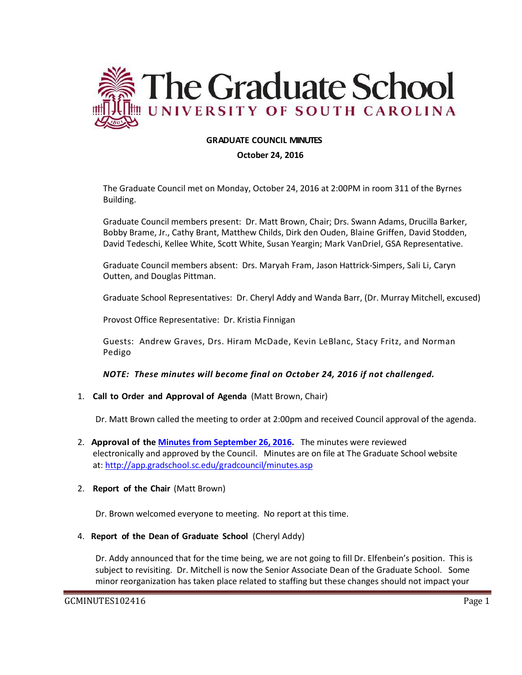

# **GRADUATE COUNCIL MINUTES**

#### **October 24, 2016**

The Graduate Council met on Monday, October 24, 2016 at 2:00PM in room 311 of the Byrnes Building.

Graduate Council members present: Dr. Matt Brown, Chair; Drs. Swann Adams, Drucilla Barker, Bobby Brame, Jr., Cathy Brant, Matthew Childs, Dirk den Ouden, Blaine Griffen, David Stodden, David Tedeschi, Kellee White, Scott White, Susan Yeargin; Mark VanDriel, GSA Representative.

Graduate Council members absent: Drs. Maryah Fram, Jason Hattrick-Simpers, Sali Li, Caryn Outten, and Douglas Pittman.

Graduate School Representatives: Dr. Cheryl Addy and Wanda Barr, (Dr. Murray Mitchell, excused)

Provost Office Representative: Dr. Kristia Finnigan

Guests: Andrew Graves, Drs. Hiram McDade, Kevin LeBlanc, Stacy Fritz, and Norman Pedigo

*NOTE: These minutes will become final on October 24, 2016 if not challenged.*

1. **Call to Order and Approval of Agenda** (Matt Brown, Chair)

Dr. Matt Brown called the meeting to order at 2:00pm and received Council approval of the agenda.

- 2. **Approval of the [Minutes from September](http://gradschool.sc.edu/facstaff/gradcouncil/2016/GCMINUTESSEPTEMBER28%202016%20MFM.pdf) 26, 2016.** The minutes were reviewed electronically and approved by the Council. Minutes are on file at The Graduate School website at:<http://app.gradschool.sc.edu/gradcouncil/minutes.asp>
- 2. **Report of the Chair** (Matt Brown)

Dr. Brown welcomed everyone to meeting. No report at this time.

4. **Report of the Dean of Graduate School** (Cheryl Addy)

Dr. Addy announced that for the time being, we are not going to fill Dr. Elfenbein's position. This is subject to revisiting. Dr. Mitchell is now the Senior Associate Dean of the Graduate School. Some minor reorganization has taken place related to staffing but these changes should not impact your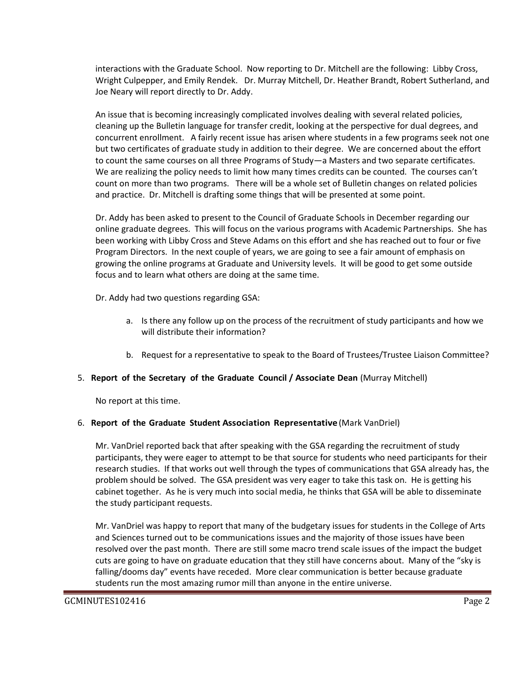interactions with the Graduate School. Now reporting to Dr. Mitchell are the following: Libby Cross, Wright Culpepper, and Emily Rendek. Dr. Murray Mitchell, Dr. Heather Brandt, Robert Sutherland, and Joe Neary will report directly to Dr. Addy.

An issue that is becoming increasingly complicated involves dealing with several related policies, cleaning up the Bulletin language for transfer credit, looking at the perspective for dual degrees, and concurrent enrollment. A fairly recent issue has arisen where students in a few programs seek not one but two certificates of graduate study in addition to their degree. We are concerned about the effort to count the same courses on all three Programs of Study—a Masters and two separate certificates. We are realizing the policy needs to limit how many times credits can be counted. The courses can't count on more than two programs. There will be a whole set of Bulletin changes on related policies and practice. Dr. Mitchell is drafting some things that will be presented at some point.

Dr. Addy has been asked to present to the Council of Graduate Schools in December regarding our online graduate degrees. This will focus on the various programs with Academic Partnerships. She has been working with Libby Cross and Steve Adams on this effort and she has reached out to four or five Program Directors. In the next couple of years, we are going to see a fair amount of emphasis on growing the online programs at Graduate and University levels. It will be good to get some outside focus and to learn what others are doing at the same time.

Dr. Addy had two questions regarding GSA:

- a. Is there any follow up on the process of the recruitment of study participants and how we will distribute their information?
- b. Request for a representative to speak to the Board of Trustees/Trustee Liaison Committee?

# 5. **Report of the Secretary of the Graduate Council / Associate Dean** (Murray Mitchell)

No report at this time.

# 6. **Report of the Graduate Student Association Representative** (Mark VanDriel)

Mr. VanDriel reported back that after speaking with the GSA regarding the recruitment of study participants, they were eager to attempt to be that source for students who need participants for their research studies. If that works out well through the types of communications that GSA already has, the problem should be solved. The GSA president was very eager to take this task on. He is getting his cabinet together. As he is very much into social media, he thinks that GSA will be able to disseminate the study participant requests.

Mr. VanDriel was happy to report that many of the budgetary issues for students in the College of Arts and Sciences turned out to be communications issues and the majority of those issues have been resolved over the past month. There are still some macro trend scale issues of the impact the budget cuts are going to have on graduate education that they still have concerns about. Many of the "sky is falling/dooms day" events have receded. More clear communication is better because graduate students run the most amazing rumor mill than anyone in the entire universe.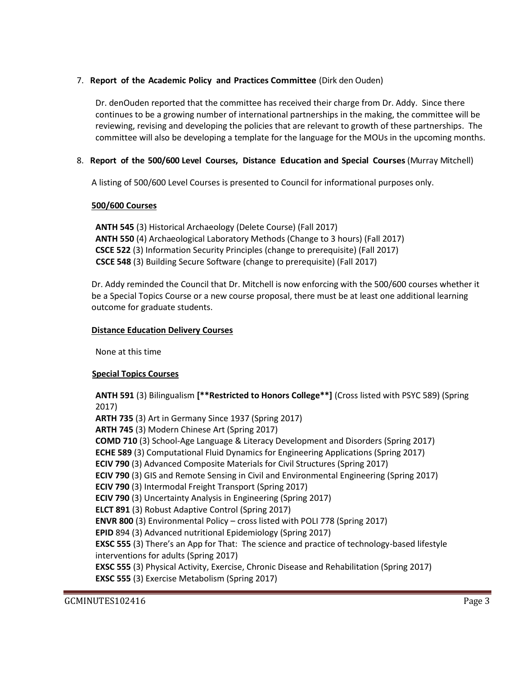# 7. **Report of the Academic Policy and Practices Committee** (Dirk den Ouden)

Dr. denOuden reported that the committee has received their charge from Dr. Addy. Since there continues to be a growing number of international partnerships in the making, the committee will be reviewing, revising and developing the policies that are relevant to growth of these partnerships. The committee will also be developing a template for the language for the MOUs in the upcoming months.

# 8. **Report of the 500/600 Level Courses, Distance Education and Special Courses** (Murray Mitchell)

A listing of 500/600 Level Courses is presented to Council for informational purposes only.

# **500/600 Courses**

 **ANTH 545** (3) Historical Archaeology (Delete Course) (Fall 2017) **ANTH 550** (4) Archaeological Laboratory Methods (Change to 3 hours) (Fall 2017) **CSCE 522** (3) Information Security Principles (change to prerequisite) (Fall 2017)  **CSCE 548** (3) Building Secure Software (change to prerequisite) (Fall 2017)

Dr. Addy reminded the Council that Dr. Mitchell is now enforcing with the 500/600 courses whether it be a Special Topics Course or a new course proposal, there must be at least one additional learning outcome for graduate students.

### **Distance Education Delivery Courses**

None at this time

# **Special Topics Courses**

**ANTH 591** (3) Bilingualism **[\*\*Restricted to Honors College\*\*]** (Cross listed with PSYC 589) (Spring 2017)

**ARTH 735** (3) Art in Germany Since 1937 (Spring 2017) **ARTH 745** (3) Modern Chinese Art (Spring 2017) **COMD 710** (3) School-Age Language & Literacy Development and Disorders (Spring 2017) **ECHE 589** (3) Computational Fluid Dynamics for Engineering Applications (Spring 2017) **ECIV 790** (3) Advanced Composite Materials for Civil Structures (Spring 2017) **ECIV 790** (3) GIS and Remote Sensing in Civil and Environmental Engineering (Spring 2017) **ECIV 790** (3) Intermodal Freight Transport (Spring 2017) **ECIV 790** (3) Uncertainty Analysis in Engineering (Spring 2017) **ELCT 891** (3) Robust Adaptive Control (Spring 2017) **ENVR 800** (3) Environmental Policy – cross listed with POLI 778 (Spring 2017) **EPID** 894 (3) Advanced nutritional Epidemiology (Spring 2017) **EXSC 555** (3) There's an App for That: The science and practice of technology-based lifestyle interventions for adults (Spring 2017) **EXSC 555** (3) Physical Activity, Exercise, Chronic Disease and Rehabilitation (Spring 2017) **EXSC 555** (3) Exercise Metabolism (Spring 2017)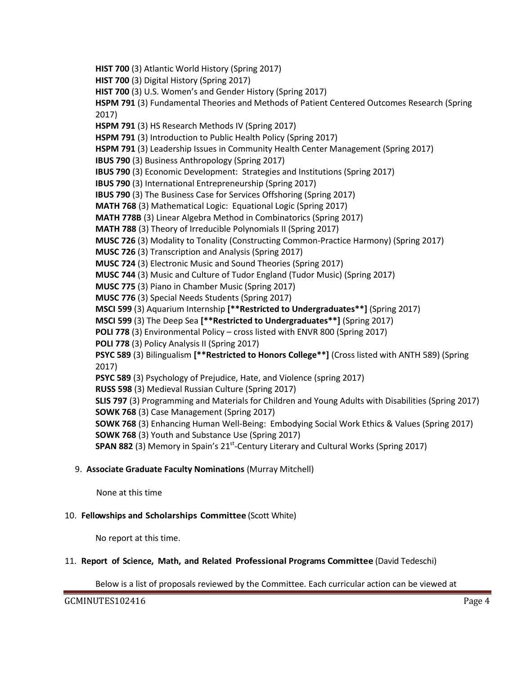**HIST 700** (3) Atlantic World History (Spring 2017) **HIST 700** (3) Digital History (Spring 2017) **HIST 700** (3) U.S. Women's and Gender History (Spring 2017) **HSPM 791** (3) Fundamental Theories and Methods of Patient Centered Outcomes Research (Spring 2017) **HSPM 791** (3) HS Research Methods IV (Spring 2017) **HSPM 791** (3) Introduction to Public Health Policy (Spring 2017) **HSPM 791** (3) Leadership Issues in Community Health Center Management (Spring 2017) **IBUS 790** (3) Business Anthropology (Spring 2017) **IBUS 790** (3) Economic Development: Strategies and Institutions (Spring 2017) **IBUS 790** (3) International Entrepreneurship (Spring 2017) **IBUS 790** (3) The Business Case for Services Offshoring (Spring 2017) **MATH 768** (3) Mathematical Logic: Equational Logic (Spring 2017) **MATH 778B** (3) Linear Algebra Method in Combinatorics (Spring 2017) **MATH 788** (3) Theory of Irreducible Polynomials II (Spring 2017) **MUSC 726** (3) Modality to Tonality (Constructing Common-Practice Harmony) (Spring 2017) **MUSC 726** (3) Transcription and Analysis (Spring 2017) **MUSC 724** (3) Electronic Music and Sound Theories (Spring 2017) **MUSC 744** (3) Music and Culture of Tudor England (Tudor Music) (Spring 2017) **MUSC 775** (3) Piano in Chamber Music (Spring 2017) **MUSC 776** (3) Special Needs Students (Spring 2017) **MSCI 599** (3) Aquarium Internship **[\*\*Restricted to Undergraduates\*\*]** (Spring 2017) **MSCI 599** (3) The Deep Sea **[\*\*Restricted to Undergraduates\*\*]** (Spring 2017) **POLI 778** (3) Environmental Policy – cross listed with ENVR 800 (Spring 2017) **POLI 778** (3) Policy Analysis II (Spring 2017) **PSYC 589** (3) Bilingualism **[\*\*Restricted to Honors College\*\*]** (Cross listed with ANTH 589) (Spring 2017) **PSYC 589** (3) Psychology of Prejudice, Hate, and Violence (spring 2017) **RUSS 598** (3) Medieval Russian Culture (Spring 2017) **SLIS 797** (3) Programming and Materials for Children and Young Adults with Disabilities (Spring 2017) **SOWK 768** (3) Case Management (Spring 2017) **SOWK 768** (3) Enhancing Human Well-Being: Embodying Social Work Ethics & Values (Spring 2017) **SOWK 768** (3) Youth and Substance Use (Spring 2017) **SPAN 882** (3) Memory in Spain's 21<sup>st</sup>-Century Literary and Cultural Works (Spring 2017)

# 9. **Associate Graduate Faculty Nominations** (Murray Mitchell)

None at this time

# 10. **Fellowships and Scholarships Committee** (Scott White)

No report at this time.

# 11. **Report of Science, Math, and Related Professional Programs Committee** (David Tedeschi)

Below is a list of proposals reviewed by the Committee. Each curricular action can be viewed at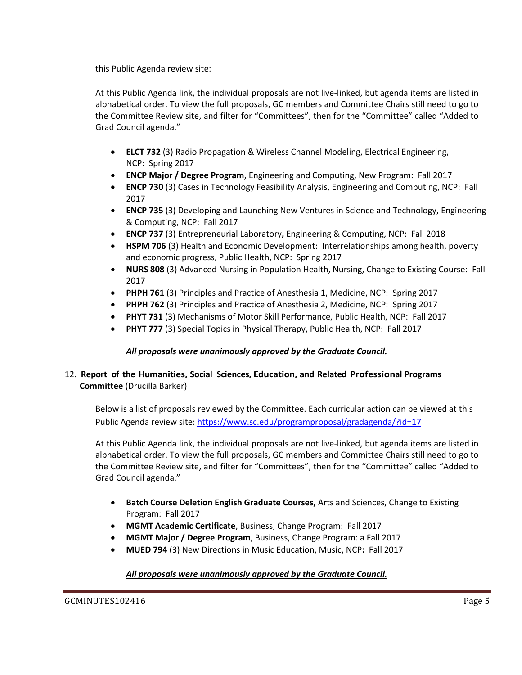this Public Agenda review site:

At this Public Agenda link, the individual proposals are not live-linked, but agenda items are listed in alphabetical order. To view the full proposals, GC members and Committee Chairs still need to go to the Committee Review site, and filter for "Committees", then for the "Committee" called "Added to Grad Council agenda."

- **ELCT 732** (3) Radio Propagation & Wireless Channel Modeling, Electrical Engineering, NCP: Spring 2017
- **ENCP Major / Degree Program**, Engineering and Computing, New Program: Fall 2017
- **ENCP 730** (3) Cases in Technology Feasibility Analysis, Engineering and Computing, NCP: Fall 2017
- **ENCP 735** (3) Developing and Launching New Ventures in Science and Technology, Engineering & Computing, NCP: Fall 2017
- **ENCP 737** (3) Entrepreneurial Laboratory**,** Engineering & Computing, NCP: Fall 2018
- **HSPM 706** (3) Health and Economic Development: Interrelationships among health, poverty and economic progress, Public Health, NCP: Spring 2017
- **NURS 808** (3) Advanced Nursing in Population Health, Nursing, Change to Existing Course: Fall 2017
- **PHPH 761** (3) Principles and Practice of Anesthesia 1, Medicine, NCP: Spring 2017
- **PHPH 762** (3) Principles and Practice of Anesthesia 2, Medicine, NCP: Spring 2017
- **PHYT 731** (3) Mechanisms of Motor Skill Performance, Public Health, NCP: Fall 2017
- **PHYT 777** (3) Special Topics in Physical Therapy, Public Health, NCP: Fall 2017

# *All proposals were unanimously approved by the Graduate Council.*

# 12. **Report of the Humanities, Social Sciences, Education, and Related Professional Programs Committee** (Drucilla Barker)

Below is a list of proposals reviewed by the Committee. Each curricular action can be viewed at this Public Agenda review site:<https://www.sc.edu/programproposal/gradagenda/?id=17>

At this Public Agenda link, the individual proposals are not live-linked, but agenda items are listed in alphabetical order. To view the full proposals, GC members and Committee Chairs still need to go to the Committee Review site, and filter for "Committees", then for the "Committee" called "Added to Grad Council agenda."

- **Batch Course Deletion English Graduate Courses, Arts and Sciences, Change to Existing** Program: Fall 2017
- **MGMT Academic Certificate**, Business, Change Program: Fall 2017
- **MGMT Major / Degree Program**, Business, Change Program: a Fall 2017
- **MUED 794** (3) New Directions in Music Education, Music, NCP**:** Fall 2017

# *All proposals were unanimously approved by the Graduate Council.*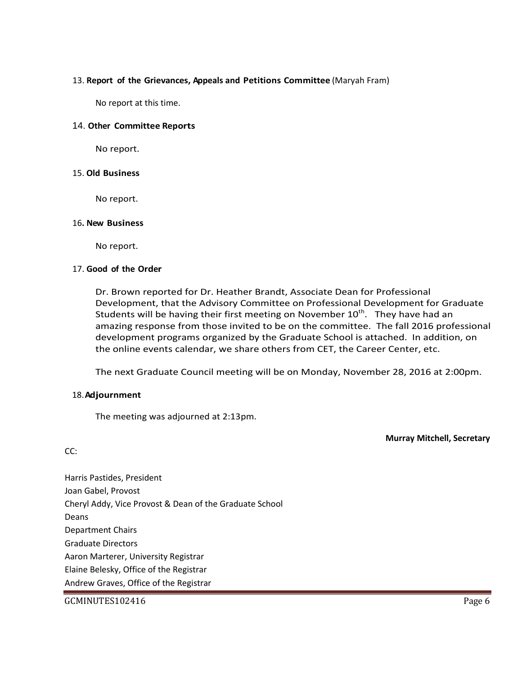### 13. **Report of the Grievances, Appeals and Petitions Committee** (Maryah Fram)

No report at this time.

#### 14. **Other Committee Reports**

No report.

#### 15. **Old Business**

No report.

#### 16**. New Business**

No report.

#### 17. **Good of the Order**

Dr. Brown reported for Dr. Heather Brandt, Associate Dean for Professional Development, that the Advisory Committee on Professional Development for Graduate Students will be having their first meeting on November  $10^{\text{th}}$ . They have had an amazing response from those invited to be on the committee. The fall 2016 professional development programs organized by the Graduate School is attached. In addition, on the online events calendar, we share others from CET, the Career Center, etc.

The next Graduate Council meeting will be on Monday, November 28, 2016 at 2:00pm.

#### 18.**Adjournment**

CC:

The meeting was adjourned at 2:13pm.

**Murray Mitchell, Secretary**

Harris Pastides, President Joan Gabel, Provost Cheryl Addy, Vice Provost & Dean of the Graduate School Deans Department Chairs Graduate Directors Aaron Marterer, University Registrar Elaine Belesky, Office of the Registrar Andrew Graves, Office of the Registrar

#### GCMINUTES102416 Page 6